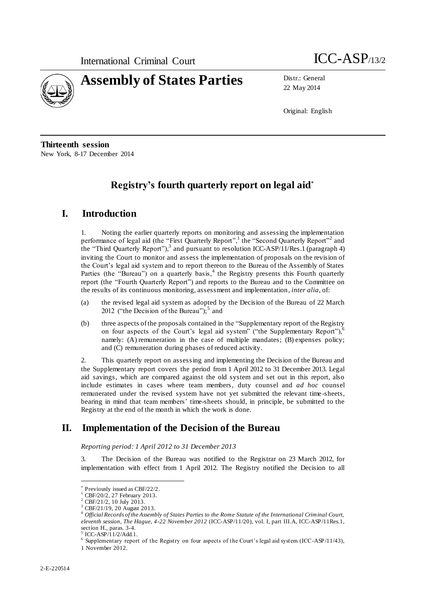

22 May 2014

Original: English

**Thirteenth session** New York, 8-17 December 2014

# **Registry's fourth quarterly report on legal aid**

# **I. Introduction**

1. Noting the earlier quarterly reports on monitoring and assessing the implementation performance of legal aid (the "First Quarterly Report",<sup>1</sup> the "Second Quarterly Report"<sup>2</sup> and the "Third Quarterly Report"), $3$  and pursuant to resolution ICC-ASP/11/Res.1 (paragraph 4) inviting the Court to monitor and assess the implementation of proposals on the revision of the Court's legal aid system and to report thereon to the Bureau of the Assembly of States Parties (the "Bureau") on a quarterly basis,  $4$  the Registry presents this Fourth quarterly report (the "Fourth Quarterly Report") and reports to the Bureau and to the Committee on the results of its continuous monitoring, assessment and implementation, *inter alia*, of:

- (a) the revised legal aid system as adopted by the Decision of the Bureau of 22 March 2012 ("the Decision of the Bureau");  $5 \text{ and}$
- (b) three aspects of the proposals contained in the "Supplementary report of the Registry on four aspects of the Court's legal aid system" ("the Supplementary Report"),<sup>6</sup> namely: (A) remuneration in the case of multiple mandates; (B) expenses policy; and (C) remuneration during phases of reduced activity.

2. This quarterly report on assessing and implementing the Decision of the Bureau and the Supplementary report covers the period from 1 April 2012 to 31 December 2013. Legal aid savings, which are compared against the old system and set out in this report, also include estimates in cases where team members, duty counsel and *ad hoc* counsel remunerated under the revised system have not yet submitted the relevant time -sheets, bearing in mind that team members' time-sheets should, in principle, be submitted to the Registry at the end of the month in which the work is done.

# **II. Implementation of the Decision of the Bureau**

*Reporting period: 1 April 2012 to 31 December 2013*

3. The Decision of the Bureau was notified to the Registrar on 23 March 2012, for implementation with effect from 1 April 2012. The Registry notified the Decision to all

5 ICC-ASP/11/2/Add.1.

Previously issued as CBF/22/2.

CBF/20/2, 27 February 2013.

<sup>2</sup> CBF/21/2, 10 July 2013.

<sup>3</sup> CBF/21/19, 20 August 2013.

<sup>4</sup> *Official Records of the Assembly of States Parties to the Rome Statute of the International Criminal Court, eleventh session, The Hague, 4-22 November 2012* (ICC-ASP/11/20), vol. I, part III.A, ICC-ASP/11Res.1, section H., paras. 3-4.

<sup>&</sup>lt;sup>6</sup> Supplementary report of the Registry on four aspects of the Court's legal aid system (ICC-ASP/11/43), 1 November 2012.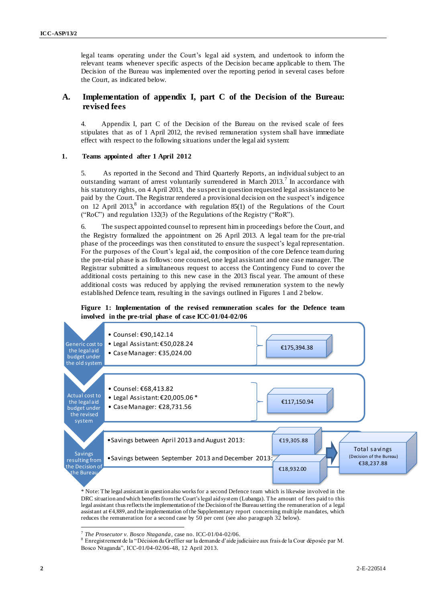legal teams operating under the Court's legal aid s ystem, and undertook to inform the relevant teams whenever specific aspects of the Decision became applicable to them. The Decision of the Bureau was implemented over the reporting period in several cases before the Court, as indicated below.

## **A. Implementation of appendix I, part C of the Decision of the Bureau: revised fees**

4. Appendix I, part C of the Decision of the Bureau on the revised scale of fees stipulates that as of 1 April 2012, the revised remuneration system shall have immediate effect with respect to the following situations under the legal aid system:

#### **1. Teams appointed after 1 April 2012**

5. As reported in the Second and Third Quarterly Reports, an individual subject to an outstanding warrant of arrest voluntarily surrendered in March  $2013$ .<sup>7</sup> In accordance with his statutory rights, on 4 April 2013, the suspect in question requested legal assistance to be paid by the Court. The Registrar rendered a provisional decision on the suspect's indigence on 12 April 2013,<sup>8</sup> in accordance with regulation 85(1) of the Regulations of the Court ("RoC") and regulation 132(3) of the Regulations of the Registry ("RoR").

6. The suspect appointed counsel to represent him in proceedings before the Court, and the Registry formalized the appointment on 26 April 2013. A legal team for the pre-trial phase of the proceedings was then constituted to ensure the suspect's legal representation. For the purposes of the Court's legal aid, the composition of the core Defence team during the pre-trial phase is as follows: one counsel, one legal assistant and one case manager. The Registrar submitted a simultaneous request to access the Contingency Fund to cover the additional costs pertaining to this new case in the 2013 fiscal year. The amount of these additional costs was reduced by applying the revised remuneration system to the newly established Defence team, resulting in the savings outlined in Figures 1 and 2 below.

### **Figure 1: Implementation of the revised remuneration scales for the Defence team involved in the pre-trial phase of case ICC-01/04-02/06**



\* Note: The legal assistant in question also works for a second Defence team which is likewise involved in the DRC situation and which benefits from the Court's legal aid system (Lubanga). The amount of fees paid to this legal assistant thus reflects the implementation of the Decision of the Bureau setting the remuneration of a legal assistant at €4,889, and the implementation of the Supplementary report concerning multiple mandates, which reduces the remuneration for a second case by 50 per cent (see also paragraph 32 below).

 7 *The Prosecutor v. Bosco Ntaganda*, case no. ICC-01/04-02/06.

<sup>8</sup> Enregistrement de la "Décision du Greffier sur la demande d'aide judiciaire aux frais de la Cour déposée par M. Bosco Ntaganda", ICC-01/04-02/06-48, 12 April 2013.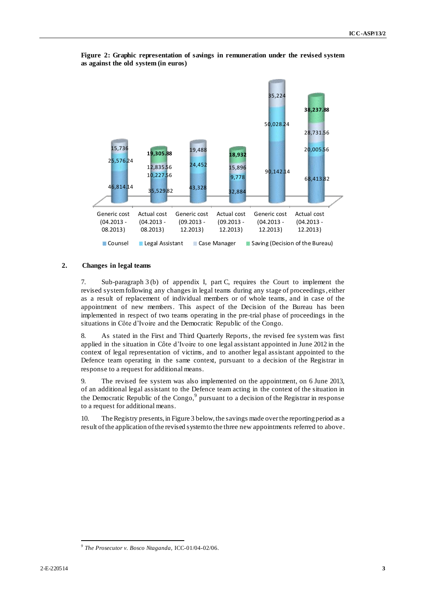

**Figure 2: Graphic representation of savings in remuneration under the revised system as against the old system (in euros)**

### **2. Changes in legal teams**

7. Sub-paragraph 3 (b) of appendix I, part C, requires the Court to implement the revised system following any changes in legal teams during any stage of proceedings, either as a result of replacement of individual members or of whole teams, and in case of the appointment of new members. This aspect of the Decision of the Bureau has been implemented in respect of two teams operating in the pre-trial phase of proceedings in the situations in Côte d'Ivoire and the Democratic Republic of the Congo.

8. As stated in the First and Third Quarterly Reports, the revised fee system was first applied in the situation in Côte d'Ivoire to one legal assistant appointed in June 2012 in the context of legal representation of victims, and to another legal assistant appointed to the Defence team operating in the same context, pursuant to a decision of the Registrar in response to a request for additional means.

9. The revised fee system was also implemented on the appointment, on 6 June 2013, of an additional legal assistant to the Defence team acting in the context of the situation in the Democratic Republic of the Congo, $9$  pursuant to a decision of the Registrar in response to a request for additional means.

10. The Registry presents, in Figure 3 below, the savings made overthe reporting period as a result ofthe application of the revised system to the three new appointments referred to above.

 $\overline{a}$ *9 The Prosecutor v. Bosco Ntaganda,* ICC-01/04-02/06.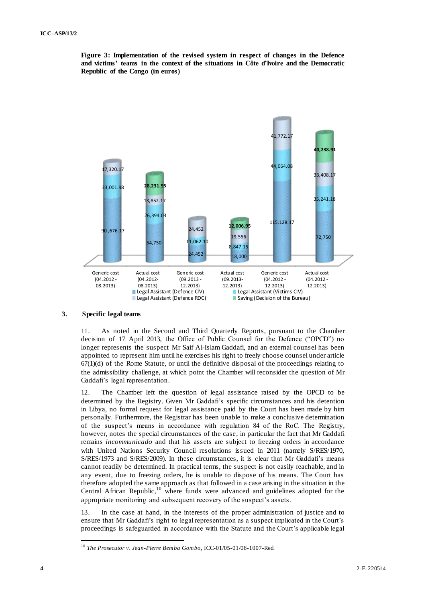

**Figure 3: Implementation of the revised system in respect of changes in the Defence and victims' teams in the context of the situations in Côte d'Ivoire and the Democratic Republic of the Congo (in euros)**

#### **3. Specific legal teams**

11. As noted in the Second and Third Quarterly Reports, pursuant to the Chamber decision of 17 April 2013, the Office of Public Counsel for the Defence ("OPCD") no longer represents the suspect Mr Saif Al-Islam Gaddafi, and an external counsel has been appointed to represent him until he exercises his right to freely choose counsel under article  $67(1)(d)$  of the Rome Statute, or until the definitive disposal of the proceedings relating to the admissibility challenge, at which point the Chamber will reconsider the question of Mr Gaddafi's legal representation.

12. The Chamber left the question of legal assistance raised by the OPCD to be determined by the Registry. Given Mr Gaddafi's specific circumstances and his detention in Libya, no formal request for legal assistance paid by the Court has been made by him personally. Furthermore, the Registrar has been unable to make a conclusive determination of the suspect's means in accordance with regulation 84 of the RoC. The Registry, however, notes the special circumstances of the case, in particular the fact that Mr Gaddafi remains *incommunicado* and that his assets are subject to freezing orders in accordance with United Nations Security Council resolutions issued in 2011 (namely S/RES/1970, S/RES/1973 and S/RES/2009). In these circumstances, it is clear that Mr Gaddafi's means cannot readily be determined. In practical terms, the suspect is not easily reachable, and in any event, due to freezing orders, he is unable to dispose of his means. The Court has therefore adopted the same approach as that followed in a case arising in the situation in the Central African Republic, $10^{11}$  where funds were advanced and guidelines adopted for the appropriate monitoring and subsequent recovery of the suspect's assets.

13. In the case at hand, in the interests of the proper administration of justice and to ensure that Mr Gaddafi's right to legal representation as a suspect implicated in the Court's proceedings is safeguarded in accordance with the Statute and the Court's applicable legal

<sup>10</sup> *The Prosecutor v. Jean-Pierre Bemba Gombo*, ICC-01/05-01/08-1007-Red.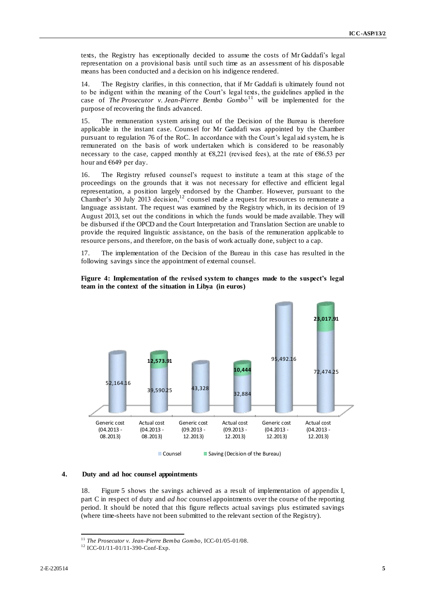texts, the Registry has exceptionally decided to assume the costs of Mr Gaddafi's legal representation on a provisional basis until such time as an assessment of his disposable means has been conducted and a decision on his indigence rendered.

14. The Registry clarifies, in this connection, that if Mr Gaddafi is ultimately found not to be indigent within the meaning of the Court's legal texts, the guidelines applied in the case of *The Prosecutor v. Jean-Pierre Bemba Gombo*<sup>11</sup> will be implemented for the purpose of recovering the finds advanced.

15. The remuneration system arising out of the Decision of the Bureau is therefore applicable in the instant case. Counsel for Mr Gaddafi was appointed by the Chamber pursuant to regulation 76 of the RoC. In accordance with the Court's legal aid system, he is remunerated on the basis of work undertaken which is considered to be reasonably necessary to the case, capped monthly at  $68,221$  (revised fees), at the rate of  $686.53$  per hour and €649 per day.

16. The Registry refused counsel's request to institute a team at this stage of the proceedings on the grounds that it was not necessary for effective and efficient legal representation, a position largely endorsed by the Chamber. However, pursuant to the Chamber's 30 July 2013 decision,<sup>12</sup> counsel made a request for resources to remunerate a language assistant. The request was examined by the Registry which, in its decision of 19 August 2013, set out the conditions in which the funds would be made available. They will be disbursed if the OPCD and the Court Interpretation and Translation Section are unable to provide the required linguistic assistance, on the basis of the remuneration applicable to resource persons, and therefore, on the basis of work actually done, subject to a cap.

17. The implementation of the Decision of the Bureau in this case has resulted in the following savings since the appointment of external counsel.





<sup>8</sup> Counsel **Saving (Decision of the Bureau)** 

### **4. Duty and ad hoc counsel appointments**

18. Figure 5 shows the savings achieved as a result of implementation of appendix I, part C in respect of duty and *ad hoc* counsel appointments over the course of the reporting period. It should be noted that this figure reflects actual savings plus estimated savings (where time-sheets have not been submitted to the relevant section of the Registry).

 $\overline{a}$ <sup>11</sup> *The Prosecutor v. Jean-Pierre Bemba Gombo*, ICC-01/05-01/08.

<sup>12</sup> ICC-01/11-01/11-390-Conf-Exp.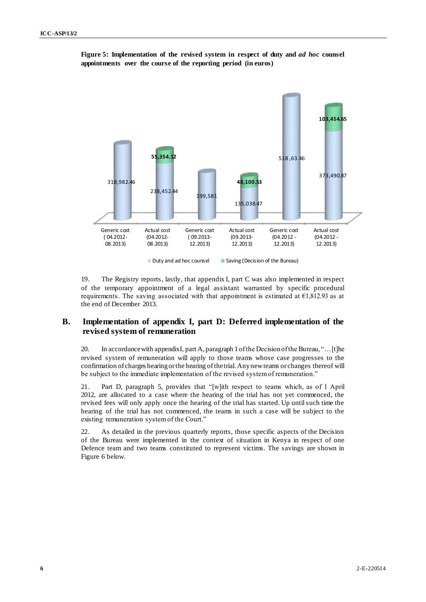



19. The Registry reports, lastly, that appendix I, part C was also implemented in respect of the temporary appointment of a legal assistant warranted by specific procedural requirements. The saving associated with that appointment is estimated at  $E1,812.93$  as at the end of December 2013.

## **B. Implementation of appendix I, part D: Deferred implementation of the revised system of remuneration**

20. In accordance with appendix I, part A, paragraph 1 of the Decision of the Bureau, "... [t]he revised system of remuneration will apply to those teams whose case progresses to the confirmation of charges hearing or the hearing of the trial. Any new teams or changes thereof will be subject to the immediate implementation of the revised system of remuneration."

21. Part D, paragraph 5, provides that "[w]ith respect to teams which, as of 1 April 2012, are allocated to a case where the hearing of the trial has not yet commenced, the revised fees will only apply once the hearing of the trial has started. Up until such time the hearing of the trial has not commenced, the teams in such a case will be subject to the existing remuneration system of the Court."

22. As detailed in the previous quarterly reports, those specific aspects of the Decision of the Bureau were implemented in the context of situation in Kenya in respect of one Defence team and two teams constituted to represent victims. The savings are shown in Figure 6 below.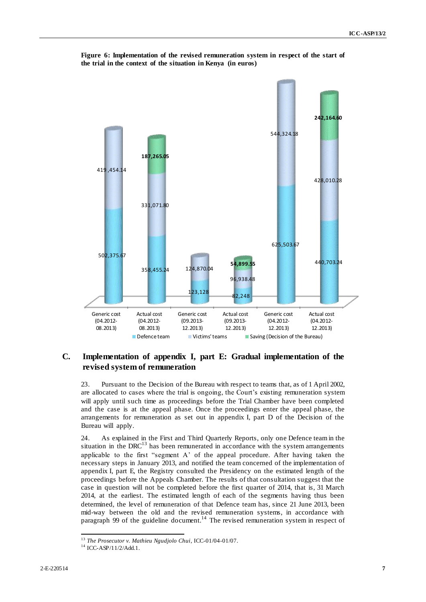

**Figure 6: Implementation of the revised remuneration system in respect of the start of the trial in the context of the situation in Kenya (in euros)**

# **C. Implementation of appendix I, part E: Gradual implementation of the revised system of remuneration**

23. Pursuant to the Decision of the Bureau with respect to teams that, as of 1 April 2002, are allocated to cases where the trial is ongoing, the Court's existing remuneration system will apply until such time as proceedings before the Trial Chamber have been completed and the case is at the appeal phase. Once the proceedings enter the appeal phase, the arrangements for remuneration as set out in appendix I, part D of the Decision of the Bureau will apply.

24. As explained in the First and Third Quarterly Reports, only one Defence team in the situation in the  $DRC<sup>13</sup>$  has been remunerated in accordance with the system arrangements applicable to the first "segment  $A'$  of the appeal procedure. After having taken the necessary steps in January 2013, and notified the team concerned of the implementation of appendix I, part E, the Registry consulted the Presidency on the estimated length of the proceedings before the Appeals Chamber. The results of that consultation suggest that the case in question will not be completed before the first quarter of 2014, that is, 31 March 2014, at the earliest. The estimated length of each of the segments having thus been determined, the level of remuneration of that Defence team has, since 21 June 2013, been mid-way between the old and the revised remuneration systems, in accordance with paragraph 99 of the guideline document.<sup>14</sup> The revised remuneration system in respect of

 $\overline{a}$ <sup>13</sup> *The Prosecutor v. Mathieu Ngudjolo Chui*, ICC-01/04-01/07.

<sup>14</sup> ICC-ASP/11/2/Add.1.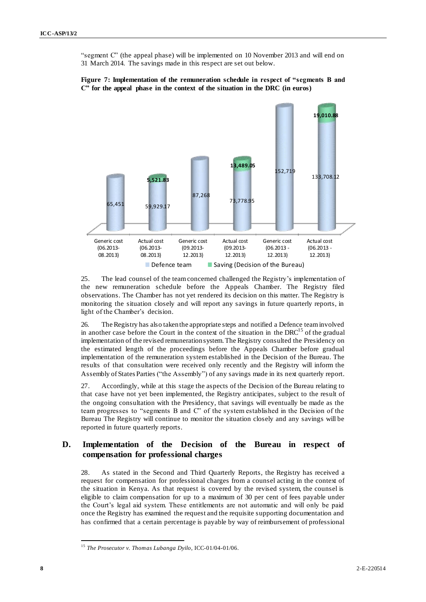"segment C" (the appeal phase) will be implemented on 10 November 2013 and will end on 31 March 2014. The savings made in this respect are set out below.



**Figure 7: Implementation of the remuneration schedule in respect of "segments B and C" for the appeal phase in the context of the situation in the DRC (in euros)**

25. The lead counsel of the team concerned challenged the Registry's implementation of the new remuneration schedule before the Appeals Chamber. The Registry filed observations. The Chamber has not yet rendered its decision on this matter. The Registry is monitoring the situation closely and will report any savings in future quarterly reports, in light of the Chamber's decision.

26. The Registry has also taken the appropriate steps and notified a Defence team involved in another case before the Court in the context of the situation in the  $DRC^{15}$  of the gradual implementation of the revised remuneration system.The Registry consulted the Presidency on the estimated length of the proceedings before the Appeals Chamber before gradual implementation of the remuneration system established in the Decision of the Bureau. The results of that consultation were received only recently and the Registry will inform the Assembly of States Parties ("the Assembly") of any savings made in its next quarterly report.

27. Accordingly, while at this stage the aspects of the Decision of the Bureau relating to that case have not yet been implemented, the Registry anticipates, subject to the result of the ongoing consultation with the Presidency, that savings will eventually be made as the team progresses to "segments B and C" of the system established in the Decision of the Bureau The Registry will continue to monitor the situation closely and any savings will be reported in future quarterly reports.

## **D. Implementation of the Decision of the Bureau in respect of compensation for professional charges**

28. As stated in the Second and Third Quarterly Reports, the Registry has received a request for compensation for professional charges from a counsel acting in the context of the situation in Kenya. As that request is covered by the revised system, the counsel is eligible to claim compensation for up to a maximum of 30 per cent of fees payable under the Court's legal aid system. These entitlements are not automatic and will only be paid once the Registry has examined the request and the requisite supporting documentation and has confirmed that a certain percentage is payable by way of reimbursement of professional

<sup>15</sup> *The Prosecutor v. Thomas Lubanga Dyilo*, ICC-01/04-01/06.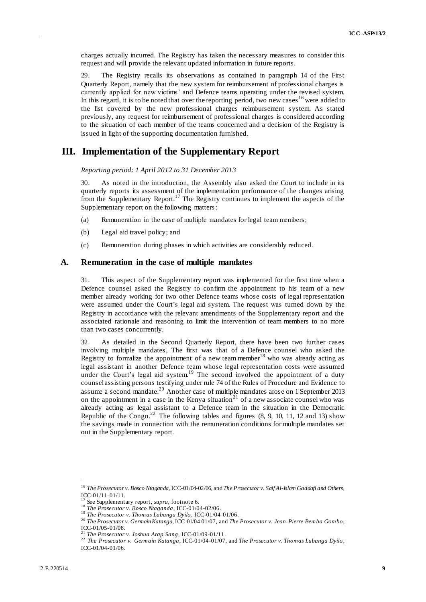charges actually incurred. The Registry has taken the necessary measures to consider this request and will provide the relevant updated information in future reports.

29. The Registry recalls its observations as contained in paragraph 14 of the First Quarterly Report, namely that the new system for reimbursement of professional charges is currently applied for new victims' and Defence teams operating under the revised system. In this regard, it is to be noted that over the reporting period, two new cases  $16$  were added to the list covered by the new professional charges reimbursement system. As stated previously, any request for reimbursement of professional charges is considered according to the situation of each member of the teams concerned and a decision of the Registry is issued in light of the supporting documentation furnished.

# **III. Implementation of the Supplementary Report**

*Reporting period: 1 April 2012 to 31 December 2013*

30. As noted in the introduction, the Assembly also asked the Court to include in its quarterly reports its assessment of the implementation performance of the changes arising from the Supplementary Report.<sup>17</sup> The Registry continues to implement the aspects of the Supplementary report on the following matters:

- (a) Remuneration in the case of multiple mandates for legal team members;
- (b) Legal aid travel policy; and
- (c) Remuneration during phases in which activities are considerably reduced.

### **A. Remuneration in the case of multiple mandates**

31. This aspect of the Supplementary report was implemented for the first time when a Defence counsel asked the Registry to confirm the appointment to his team of a new member already working for two other Defence teams whose costs of legal representation were assumed under the Court's legal aid system. The request was turned down by the Registry in accordance with the relevant amendments of the Supplementary report and the associated rationale and reasoning to limit the intervention of team members to no more than two cases concurrently.

32. As detailed in the Second Quarterly Report, there have been two further cases involving multiple mandates, The first was that of a Defence counsel who asked the Registry to formalize the appointment of a new team member<sup>18</sup> who was already acting as legal assistant in another Defence team whose legal representation costs were assumed under the Court's legal aid system.<sup>19</sup> The second involved the appointment of a duty counsel assisting persons testifying under rule 74 of the Rules of Procedure and Evidence to assume a second mandate.<sup>20</sup> Another case of multiple mandates arose on 1 September 2013 on the appointment in a case in the Kenya situation<sup>21</sup> of a new associate counsel who was already acting as legal assistant to a Defence team in the situation in the Democratic Republic of the Congo.<sup>22</sup> The following tables and figures  $(8, 9, 10, 11, 12, 12)$  and 13) show the savings made in connection with the remuneration conditions for multiple mandates set out in the Supplementary report.

<sup>16</sup> *The Prosecutor v. Bosco Ntaganda*, ICC-01/04-02/06, and *The Prosecutor v. Saif Al-Islam Gaddafi and Others*, ICC-01/11-01/11.

See Supplementary report, *supra*, footnote 6.

<sup>18</sup> *The Prosecutor v. Bosco Ntaganda*, ICC-01/04-02/06.

<sup>19</sup> *The Prosecutor v. Thomas Lubanga Dyilo*, ICC-01/04-01/06.

<sup>20</sup> *The Prosecutor v. Germain Katanga*, ICC-01/04-01/07, and *The Prosecutor v. Jean-Pierre Bemba Gombo*, ICC-01/05-01/08.

<sup>21</sup> *The Prosecutor v. Joshua Arap Sang*, ICC-01/09-01/11.

<sup>22</sup> *The Prosecutor v. Germain Katanga*, ICC-01/04-01/07, and *The Prosecutor v. Thomas Lubanga Dyilo*, ICC-01/04-01/06.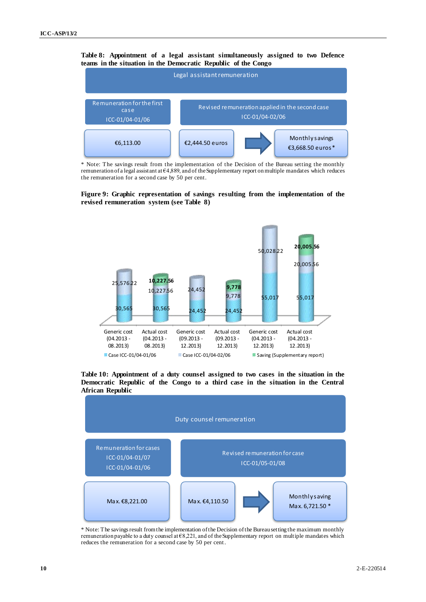### **Table 8: Appointment of a legal assistant simultaneously assigned to two Defence teams in the situation in the Democratic Republic of the Congo**



\* Note: The savings result from the implementation of the Decision of the Bureau setting the monthly remuneration of a legal assistant at €4,889, and of the Supplementary report on multiple mandates which reduces the remuneration for a second case by 50 per cent.

**Figure 9: Graphic representation of savings resulting from the implementation of the revised remuneration system (see Table 8)** 



**Table 10: Appointment of a duty counsel assigned to two cases in the situation in the Democratic Republic of the Congo to a third case in the situation in the Central African Republic**



\* Note: The savings result from the implementation of the Decision of the Bureau setting the maximum monthly remuneration payable to a duty counsel at €8,221, and of the Supplementary report on multiple mandates which reduces the remuneration for a second case by 50 per cent.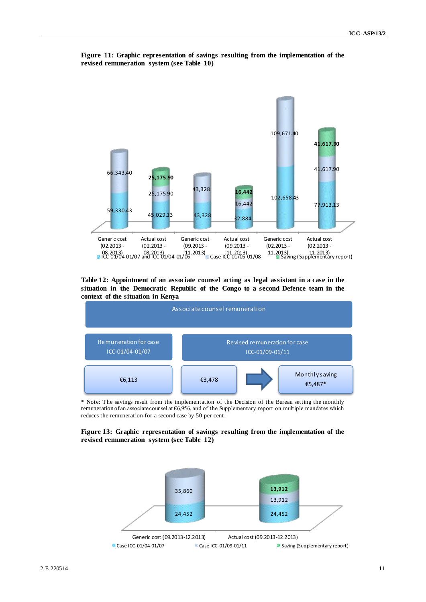

**Figure 11: Graphic representation of savings resulting from the implementation of the revised remuneration system (see Table 10)**

**Table 12: Appointment of an associate counsel acting as legal assistant in a case in the situation in the Democratic Republic of the Congo to a second Defence team in the context of the situation in Kenya**



\* Note: The savings result from the implementation of the Decision of the Bureau setting the monthly remuneration of an associate counsel at €6,956, and of the Supplementary report on multiple mandates which reduces the remuneration for a second case by 50 per cent.

**Figure 13: Graphic representation of savings resulting from the implementation of the revised remuneration system (see Table 12)**

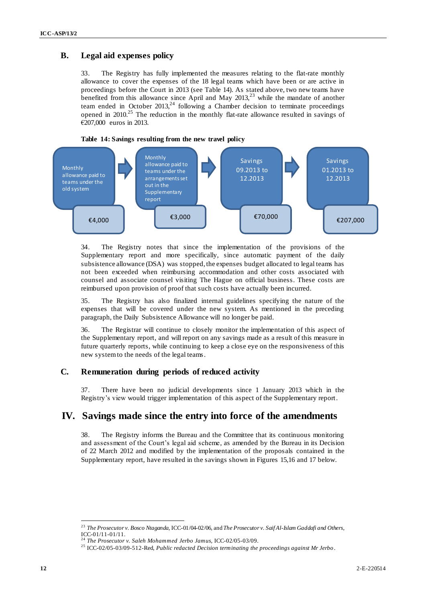## **B. Legal aid expenses policy**

33. The Registry has fully implemented the measures relating to the flat-rate monthly allowance to cover the expenses of the 18 legal teams which have been or are active in proceedings before the Court in 2013 (see Table 14). As stated above, two new teams have benefited from this allowance since April and May  $2013$ ,<sup>23</sup> while the mandate of another team ended in October 2013,<sup>24</sup> following a Chamber decision to terminate proceedings opened in 2010.<sup>25</sup> The reduction in the monthly flat-rate allowance resulted in savings of €207,000 euros in 2013.



34. The Registry notes that since the implementation of the provisions of the Supplementary report and more specifically, since automatic payment of the daily subsistence allowance (DSA) was stopped, the expenses budget allocated to legal teams has not been exceeded when reimbursing accommodation and other costs associated with counsel and associate counsel visiting The Hague on official business. These costs are reimbursed upon provision of proof that such costs have actually been incurred.

35. The Registry has also finalized internal guidelines specifying the nature of the expenses that will be covered under the new system. As mentioned in the preceding paragraph, the Daily Subsistence Allowance will no longer be paid.

36. The Registrar will continue to closely monitor the implementation of this aspect of the Supplementary report, and will report on any savings made as a result of this measure in future quarterly reports, while continuing to keep a close eye on the responsiveness of this new system to the needs of the legal teams.

## **C. Remuneration during periods of reduced activity**

37. There have been no judicial developments since 1 January 2013 which in the Registry's view would trigger implementation of this aspect of the Supplementary report.

# **IV. Savings made since the entry into force of the amendments**

38. The Registry informs the Bureau and the Committee that its continuous monitoring and assessment of the Court's legal aid scheme, as amended by the Bureau in its Decision of 22 March 2012 and modified by the implementation of the proposals contained in the Supplementary report, have resulted in the savings shown in Figures 15,16 and 17 below.

 $\overline{a}$ <sup>23</sup> *The Prosecutor v. Bosco Ntaganda*, ICC-01/04-02/06, and *The Prosecutor v. Saif Al-Islam Gaddafi and Others*, ICC-01/11-01/11.

<sup>24</sup> *The Prosecutor v. Saleh Mohammed Jerbo Jamus*, ICC-02/05-03/09.

<sup>25</sup> ICC-02/05-03/09-512-Red, *Public redacted Decision terminating the proceedings against Mr Jerbo* .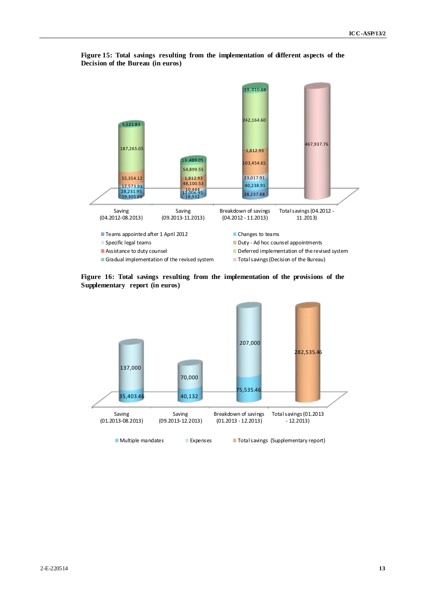

**Figure 15: Total savings resulting from the implementation of different aspects of the Decision of the Bureau (in euros)**